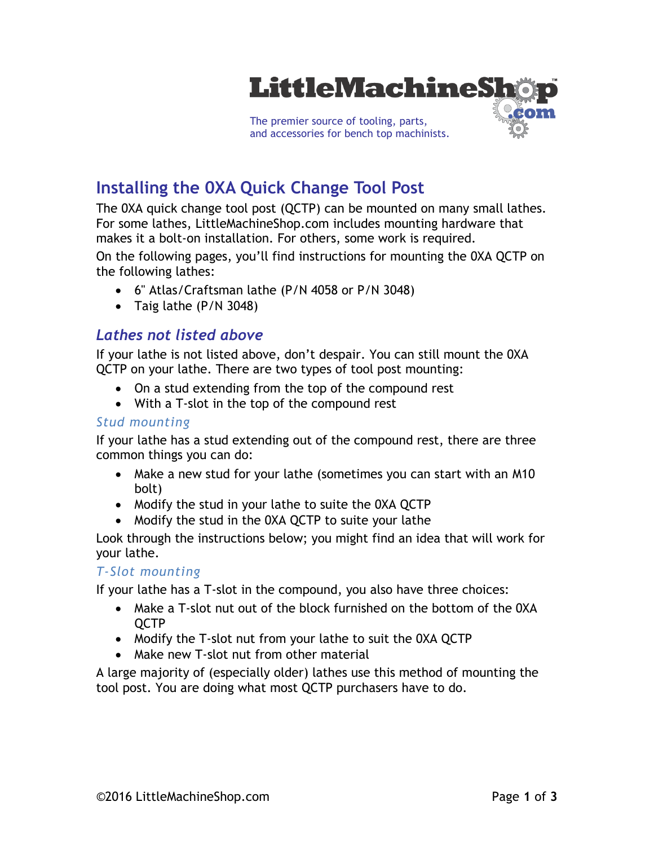

# **Installing the 0XA Quick Change Tool Post**

The 0XA quick change tool post (QCTP) can be mounted on many small lathes. For some lathes, LittleMachineShop.com includes mounting hardware that makes it a bolt-on installation. For others, some work is required.

On the following pages, you'll find instructions for mounting the 0XA QCTP on the following lathes:

- 6" Atlas/Craftsman lathe (P/N 4058 or P/N 3048)
- Taig lathe (P/N 3048)

### *Lathes not listed above*

If your lathe is not listed above, don't despair. You can still mount the 0XA QCTP on your lathe. There are two types of tool post mounting:

- On a stud extending from the top of the compound rest
- With a T-slot in the top of the compound rest

#### *Stud mounting*

If your lathe has a stud extending out of the compound rest, there are three common things you can do:

- Make a new stud for your lathe (sometimes you can start with an M10 bolt)
- Modify the stud in your lathe to suite the OXA QCTP
- Modify the stud in the 0XA QCTP to suite your lathe

Look through the instructions below; you might find an idea that will work for your lathe.

#### *T-Slot mounting*

If your lathe has a T-slot in the compound, you also have three choices:

- Make a T-slot nut out of the block furnished on the bottom of the 0XA QCTP
- Modify the T-slot nut from your lathe to suit the 0XA QCTP
- Make new T-slot nut from other material

A large majority of (especially older) lathes use this method of mounting the tool post. You are doing what most QCTP purchasers have to do.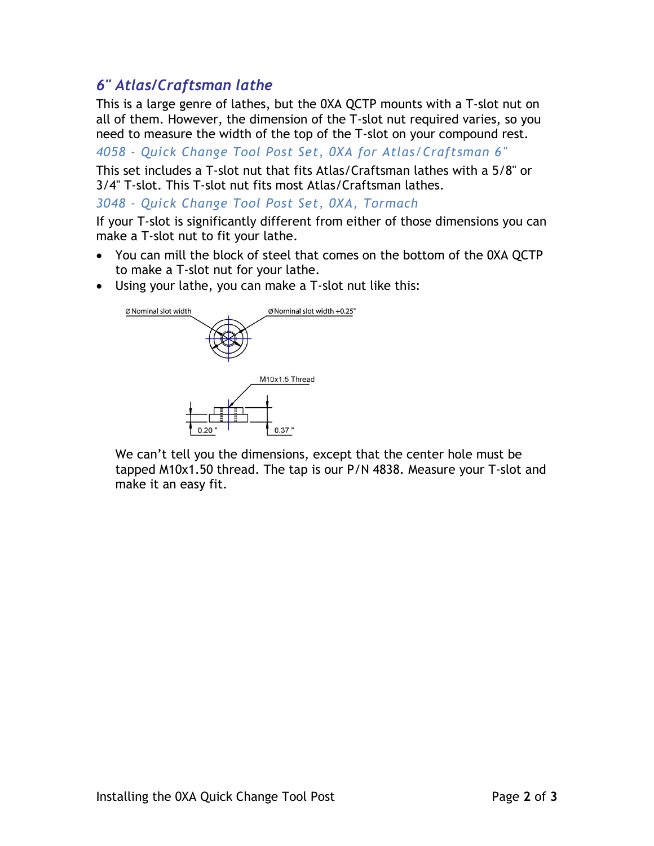## *6" Atlas/Craftsman lathe*

This is a large genre of lathes, but the 0XA QCTP mounts with a T-slot nut on all of them. However, the dimension of the T-slot nut required varies, so you need to measure the width of the top of the T-slot on your compound rest.

*4058 - Quick Change Tool Post Set, 0XA for Atlas/Craftsman 6"*

This set includes a T-slot nut that fits Atlas/Craftsman lathes with a 5/8" or 3/4" T-slot. This T-slot nut fits most Atlas/Craftsman lathes.

*3048 - Quick Change Tool Post Set, 0XA, Tormach*

If your T-slot is significantly different from either of those dimensions you can make a T-slot nut to fit your lathe.

- You can mill the block of steel that comes on the bottom of the 0XA QCTP to make a T-slot nut for your lathe.
- Using your lathe, you can make a T-slot nut like this:



We can't tell you the dimensions, except that the center hole must be tapped M10x1.50 thread. The tap is our P/N 4838. Measure your T-slot and make it an easy fit.